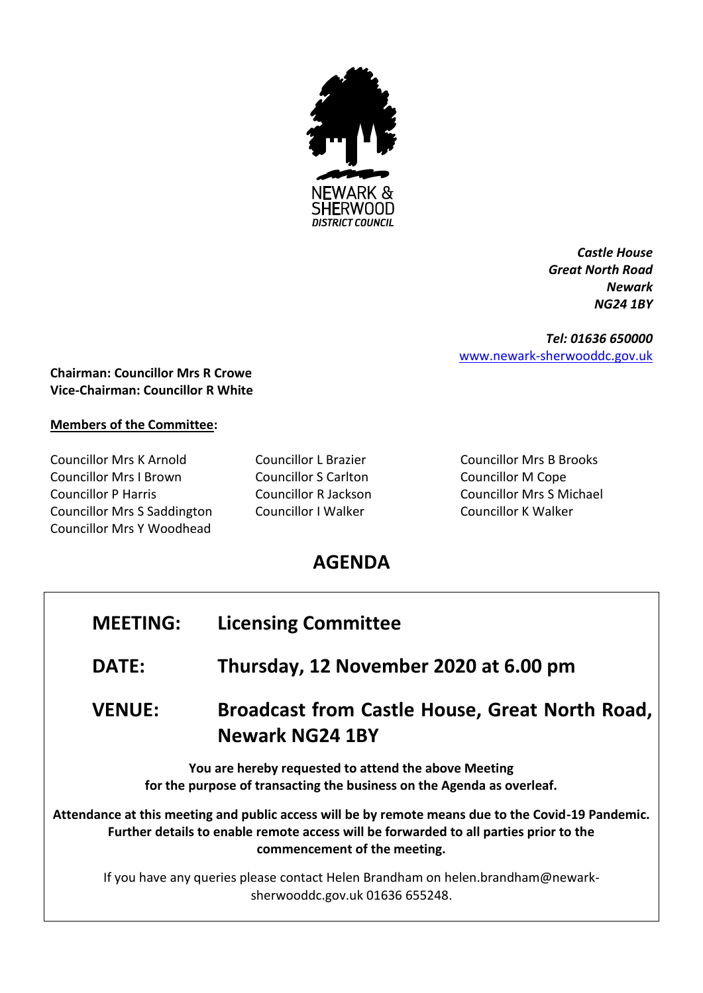

*Castle House Great North Road Newark NG24 1BY*

*Tel: 01636 650000* [www.newark-sherwooddc.gov.uk](http://www.newark-sherwooddc.gov.uk/)

## **Chairman: Councillor Mrs R Crowe Vice-Chairman: Councillor R White**

## **Members of the Committee:**

Councillor Mrs K Arnold Councillor L Brazier Councillor Mrs B Brooks Councillor Mrs I Brown Councillor S Carlton Councillor M Cope Councillor P Harris Councillor R Jackson Councillor Mrs S Michael Councillor Mrs S Saddington Councillor I Walker Councillor K Walker Councillor Mrs Y Woodhead

## **AGENDA**

| <b>MEETING:</b>                                                                                                                                                                                                             | <b>Licensing Committee</b>                                               |  |  |
|-----------------------------------------------------------------------------------------------------------------------------------------------------------------------------------------------------------------------------|--------------------------------------------------------------------------|--|--|
| <b>DATE:</b>                                                                                                                                                                                                                | Thursday, 12 November 2020 at 6.00 pm                                    |  |  |
| <b>VENUE:</b>                                                                                                                                                                                                               | Broadcast from Castle House, Great North Road,<br><b>Newark NG24 1BY</b> |  |  |
| You are hereby requested to attend the above Meeting<br>for the purpose of transacting the business on the Agenda as overleaf.                                                                                              |                                                                          |  |  |
| Attendance at this meeting and public access will be by remote means due to the Covid-19 Pandemic.<br>Further details to enable remote access will be forwarded to all parties prior to the<br>commencement of the meeting. |                                                                          |  |  |
| If you have any queries please contact Helen Brandham on helen.brandham@newark-<br>sherwooddc.gov.uk 01636 655248.                                                                                                          |                                                                          |  |  |